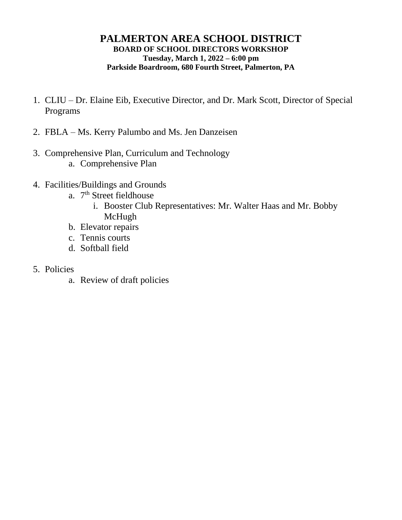### **PALMERTON AREA SCHOOL DISTRICT BOARD OF SCHOOL DIRECTORS WORKSHOP Tuesday, March 1, 2022 – 6:00 pm Parkside Boardroom, 680 Fourth Street, Palmerton, PA**

- 1. CLIU Dr. Elaine Eib, Executive Director, and Dr. Mark Scott, Director of Special Programs
- 2. FBLA Ms. Kerry Palumbo and Ms. Jen Danzeisen
- 3. Comprehensive Plan, Curriculum and Technology a. Comprehensive Plan
- 4. Facilities/Buildings and Grounds
	- a. 7<sup>th</sup> Street fieldhouse
		- i. Booster Club Representatives: Mr. Walter Haas and Mr. Bobby McHugh
	- b. Elevator repairs
	- c. Tennis courts
	- d. Softball field
- 5. Policies
	- a. Review of draft policies